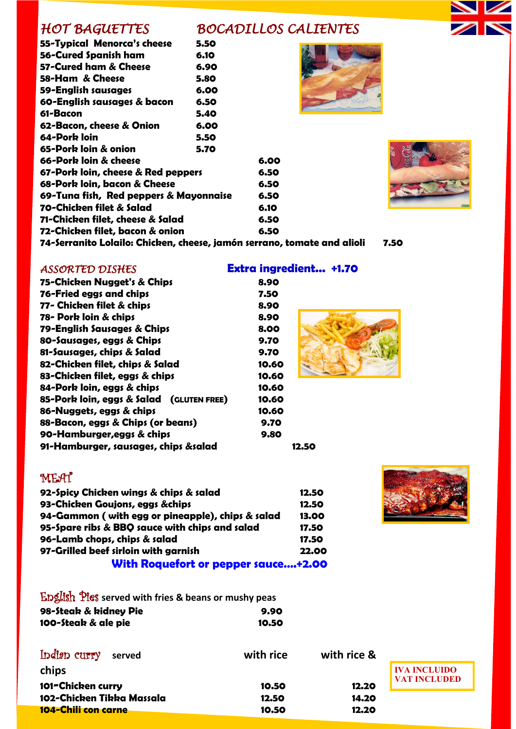# *HOT BAGUETTES BOCADILLOS CALIENTES*

| 55-Typical Menorca's cheese                          | 5.50 |      |
|------------------------------------------------------|------|------|
| 56-Cured Spanish ham                                 | 6.10 |      |
| 57-Cured ham & Cheese                                | 6.90 |      |
| 58-Ham & Cheese                                      | 5.80 |      |
| 59-English sausages                                  | 6.00 |      |
| 60-English sausages & bacon                          | 6.50 |      |
| 61-Bacon                                             | 5.40 |      |
| 62-Bacon, cheese & Onion                             | 6.00 |      |
| 64-Pork Ioin                                         | 5.50 |      |
| 65-Pork loin & onion                                 | 5.70 |      |
| 66-Pork loin & cheese                                |      | 6.00 |
| 67-Pork loin, cheese & Red peppers                   |      | 6.50 |
| 68-Pork loin, bacon & Cheese                         |      | 6.50 |
| 69-Tuna fish, Red peppers & Mayonnaise               |      | 6.50 |
| 70-Chicken filet & Salad                             |      |      |
| 71-Chicken filet, cheese & Salad                     |      | 6.50 |
| 72-Chicken filet, bacon & onion                      |      | 6.50 |
| 71-Sausanita Lalaila: Chichan, choosa, iamán sausana |      |      |





**74-Serranito Lolailo: Chicken, cheese, jamón serrano, tomate and alioli 7.50**

# *ASSORTED DISHES* **Extra ingredient... +1.70**

| 75-Chicken Nugget's & Chips              | 8.90  |
|------------------------------------------|-------|
| 76-Fried eggs and chips                  |       |
|                                          | 7.50  |
| 77- Chicken filet & chips                | 8.90  |
| 78- Pork loin & chips                    | 8.90  |
| 79-English Sausages & Chips              | 8.00  |
| 80-Sausages, eggs & Chips                | 9.70  |
| 81-Sausages, chips & Salad               | 9.70  |
| 82-Chicken filet, chips & Salad          | 10.60 |
| 83-Chicken filet, eggs & chips           | 10.60 |
| 84-Pork loin, eggs & chips               | 10.60 |
| 85-Pork loin, eggs & Salad (GLUTEN FREE) | 10.60 |
| 86-Nuggets, eggs & chips                 | 10.60 |
| 88-Bacon, eggs & Chips (or beans)        | 9.70  |
| 90-Hamburger, eggs & chips               | 9.80  |
| 91-Hamburger, sausages, chips &salad     | 12.50 |
|                                          |       |

# MEAT

| 92-Spicy Chicken wings & chips & salad           | 12.50 |
|--------------------------------------------------|-------|
| 93-Chicken Goujons, eggs &chips                  | 12.50 |
| 94-Gammon (with egg or pineapple), chips & salad | 13.00 |
| 95-Spare ribs & BBQ sauce with chips and salad   | 17.50 |
| 96-Lamb chops, chips & salad                     | 17.50 |
| 97-Grilled beef sirloin with garnish             | 22.00 |
| With Roquefort or pepper sauce+2.00              |       |



### English Pies **served with fries & beans or mushy peas 98-Steak & kidney Pie 9.90 100-Steak & ale pie 10.50**

| Indian curry<br>served     | with rice | with rice & |           |
|----------------------------|-----------|-------------|-----------|
| chips                      |           |             | IV/       |
| 101-Chicken curry          | 10.50     | 12.20       | <b>VA</b> |
| 102-Chicken Tikka Massala  | 12.50     | 14.20       |           |
| <b>104-Chili con carne</b> | 10.50     | 12.20       |           |



**A INCLUIDO VALUDED**